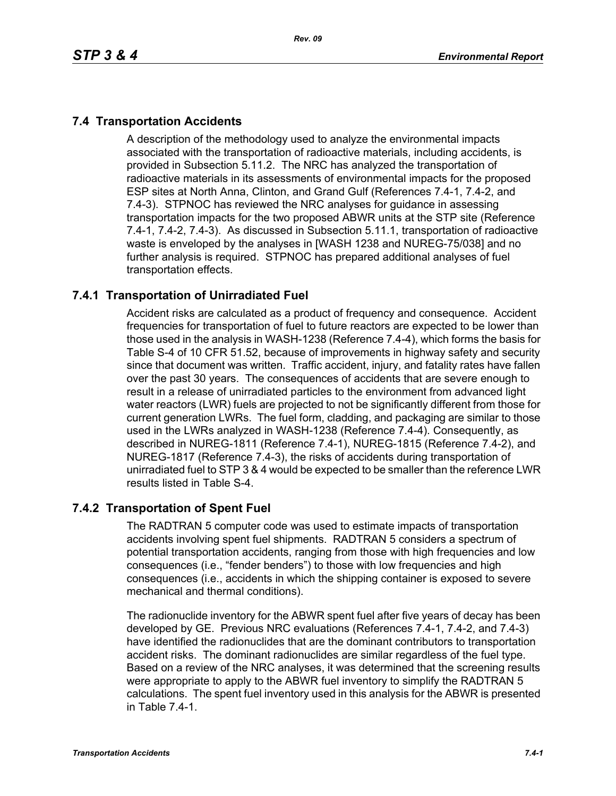# **7.4 Transportation Accidents**

A description of the methodology used to analyze the environmental impacts associated with the transportation of radioactive materials, including accidents, is provided in Subsection 5.11.2. The NRC has analyzed the transportation of radioactive materials in its assessments of environmental impacts for the proposed ESP sites at North Anna, Clinton, and Grand Gulf (References 7.4-1, 7.4-2, and 7.4-3). STPNOC has reviewed the NRC analyses for guidance in assessing transportation impacts for the two proposed ABWR units at the STP site (Reference 7.4-1, 7.4-2, 7.4-3). As discussed in Subsection 5.11.1, transportation of radioactive waste is enveloped by the analyses in [WASH 1238 and NUREG-75/038] and no further analysis is required. STPNOC has prepared additional analyses of fuel transportation effects.

## **7.4.1 Transportation of Unirradiated Fuel**

Accident risks are calculated as a product of frequency and consequence. Accident frequencies for transportation of fuel to future reactors are expected to be lower than those used in the analysis in WASH-1238 (Reference 7.4-4), which forms the basis for Table S-4 of 10 CFR 51.52, because of improvements in highway safety and security since that document was written. Traffic accident, injury, and fatality rates have fallen over the past 30 years. The consequences of accidents that are severe enough to result in a release of unirradiated particles to the environment from advanced light water reactors (LWR) fuels are projected to not be significantly different from those for current generation LWRs. The fuel form, cladding, and packaging are similar to those used in the LWRs analyzed in WASH-1238 (Reference 7.4-4). Consequently, as described in NUREG-1811 (Reference 7.4-1), NUREG-1815 (Reference 7.4-2), and NUREG-1817 (Reference 7.4-3), the risks of accidents during transportation of unirradiated fuel to STP 3 & 4 would be expected to be smaller than the reference LWR results listed in Table S-4.

## **7.4.2 Transportation of Spent Fuel**

The RADTRAN 5 computer code was used to estimate impacts of transportation accidents involving spent fuel shipments. RADTRAN 5 considers a spectrum of potential transportation accidents, ranging from those with high frequencies and low consequences (i.e., "fender benders") to those with low frequencies and high consequences (i.e., accidents in which the shipping container is exposed to severe mechanical and thermal conditions).

The radionuclide inventory for the ABWR spent fuel after five years of decay has been developed by GE. Previous NRC evaluations (References 7.4-1, 7.4-2, and 7.4-3) have identified the radionuclides that are the dominant contributors to transportation accident risks. The dominant radionuclides are similar regardless of the fuel type. Based on a review of the NRC analyses, it was determined that the screening results were appropriate to apply to the ABWR fuel inventory to simplify the RADTRAN 5 calculations. The spent fuel inventory used in this analysis for the ABWR is presented in Table 7.4-1.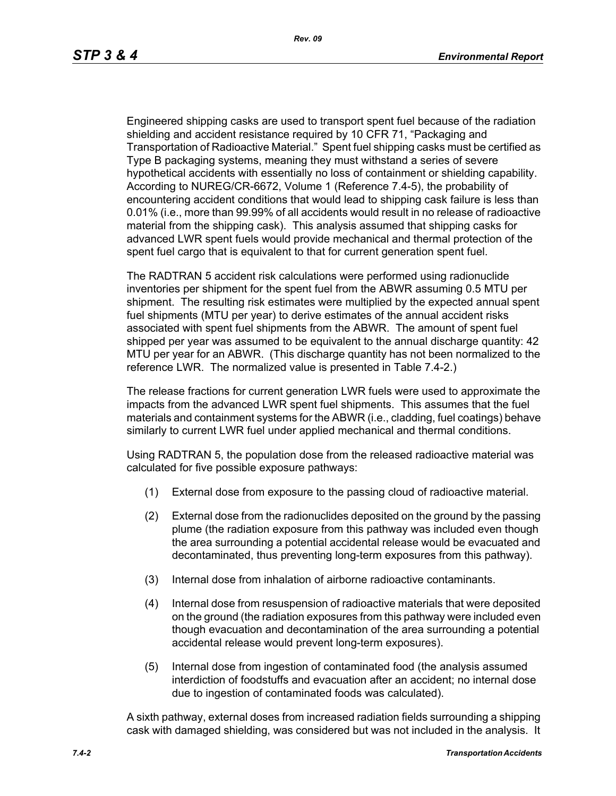Engineered shipping casks are used to transport spent fuel because of the radiation shielding and accident resistance required by 10 CFR 71, "Packaging and Transportation of Radioactive Material." Spent fuel shipping casks must be certified as Type B packaging systems, meaning they must withstand a series of severe hypothetical accidents with essentially no loss of containment or shielding capability. According to NUREG/CR-6672, Volume 1 (Reference 7.4-5), the probability of encountering accident conditions that would lead to shipping cask failure is less than 0.01% (i.e., more than 99.99% of all accidents would result in no release of radioactive material from the shipping cask). This analysis assumed that shipping casks for advanced LWR spent fuels would provide mechanical and thermal protection of the spent fuel cargo that is equivalent to that for current generation spent fuel.

The RADTRAN 5 accident risk calculations were performed using radionuclide inventories per shipment for the spent fuel from the ABWR assuming 0.5 MTU per shipment. The resulting risk estimates were multiplied by the expected annual spent fuel shipments (MTU per year) to derive estimates of the annual accident risks associated with spent fuel shipments from the ABWR. The amount of spent fuel shipped per year was assumed to be equivalent to the annual discharge quantity: 42 MTU per year for an ABWR. (This discharge quantity has not been normalized to the reference LWR. The normalized value is presented in Table 7.4-2.)

The release fractions for current generation LWR fuels were used to approximate the impacts from the advanced LWR spent fuel shipments. This assumes that the fuel materials and containment systems for the ABWR (i.e., cladding, fuel coatings) behave similarly to current LWR fuel under applied mechanical and thermal conditions.

Using RADTRAN 5, the population dose from the released radioactive material was calculated for five possible exposure pathways:

- (1) External dose from exposure to the passing cloud of radioactive material.
- (2) External dose from the radionuclides deposited on the ground by the passing plume (the radiation exposure from this pathway was included even though the area surrounding a potential accidental release would be evacuated and decontaminated, thus preventing long-term exposures from this pathway).
- (3) Internal dose from inhalation of airborne radioactive contaminants.
- (4) Internal dose from resuspension of radioactive materials that were deposited on the ground (the radiation exposures from this pathway were included even though evacuation and decontamination of the area surrounding a potential accidental release would prevent long-term exposures).
- (5) Internal dose from ingestion of contaminated food (the analysis assumed interdiction of foodstuffs and evacuation after an accident; no internal dose due to ingestion of contaminated foods was calculated).

A sixth pathway, external doses from increased radiation fields surrounding a shipping cask with damaged shielding, was considered but was not included in the analysis. It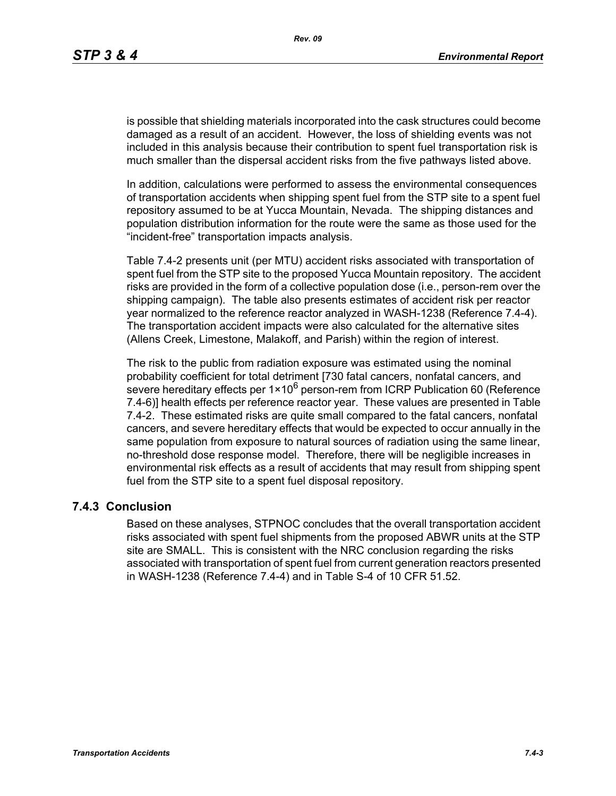is possible that shielding materials incorporated into the cask structures could become damaged as a result of an accident. However, the loss of shielding events was not included in this analysis because their contribution to spent fuel transportation risk is much smaller than the dispersal accident risks from the five pathways listed above.

In addition, calculations were performed to assess the environmental consequences of transportation accidents when shipping spent fuel from the STP site to a spent fuel repository assumed to be at Yucca Mountain, Nevada. The shipping distances and population distribution information for the route were the same as those used for the "incident-free" transportation impacts analysis.

Table 7.4-2 presents unit (per MTU) accident risks associated with transportation of spent fuel from the STP site to the proposed Yucca Mountain repository. The accident risks are provided in the form of a collective population dose (i.e., person-rem over the shipping campaign). The table also presents estimates of accident risk per reactor year normalized to the reference reactor analyzed in WASH-1238 (Reference 7.4-4). The transportation accident impacts were also calculated for the alternative sites (Allens Creek, Limestone, Malakoff, and Parish) within the region of interest.

The risk to the public from radiation exposure was estimated using the nominal probability coefficient for total detriment [730 fatal cancers, nonfatal cancers, and severe hereditary effects per  $1 \times 10^6$  person-rem from ICRP Publication 60 (Reference 7.4-6)] health effects per reference reactor year. These values are presented in Table 7.4-2. These estimated risks are quite small compared to the fatal cancers, nonfatal cancers, and severe hereditary effects that would be expected to occur annually in the same population from exposure to natural sources of radiation using the same linear, no-threshold dose response model. Therefore, there will be negligible increases in environmental risk effects as a result of accidents that may result from shipping spent fuel from the STP site to a spent fuel disposal repository.

#### **7.4.3 Conclusion**

Based on these analyses, STPNOC concludes that the overall transportation accident risks associated with spent fuel shipments from the proposed ABWR units at the STP site are SMALL. This is consistent with the NRC conclusion regarding the risks associated with transportation of spent fuel from current generation reactors presented in WASH-1238 (Reference 7.4-4) and in Table S-4 of 10 CFR 51.52.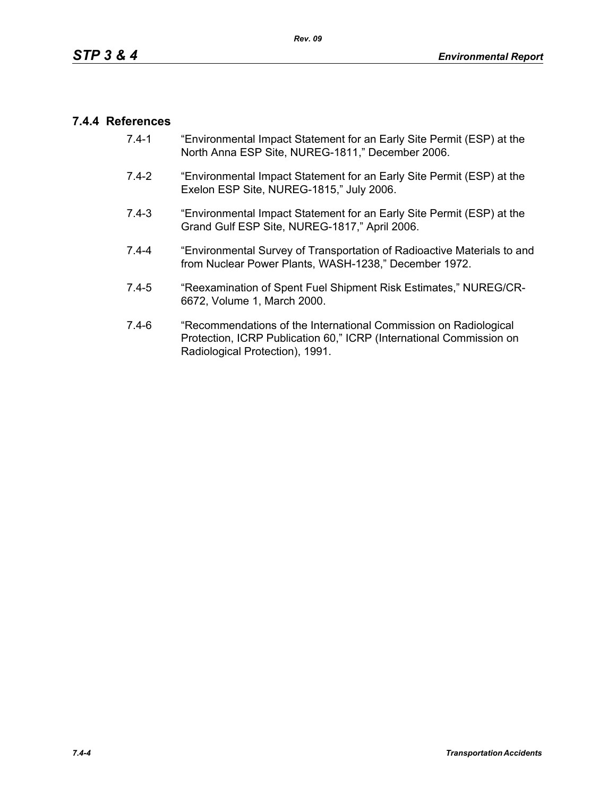### **7.4.4 References**

- 7.4-1 "Environmental Impact Statement for an Early Site Permit (ESP) at the North Anna ESP Site, NUREG-1811," December 2006.
- 7.4-2 "Environmental Impact Statement for an Early Site Permit (ESP) at the Exelon ESP Site, NUREG-1815," July 2006.
- 7.4-3 "Environmental Impact Statement for an Early Site Permit (ESP) at the Grand Gulf ESP Site, NUREG-1817," April 2006.
- 7.4-4 "Environmental Survey of Transportation of Radioactive Materials to and from Nuclear Power Plants, WASH-1238," December 1972.
- 7.4-5 "Reexamination of Spent Fuel Shipment Risk Estimates," NUREG/CR-6672, Volume 1, March 2000.
- 7.4-6 "Recommendations of the International Commission on Radiological Protection, ICRP Publication 60," ICRP (International Commission on Radiological Protection), 1991.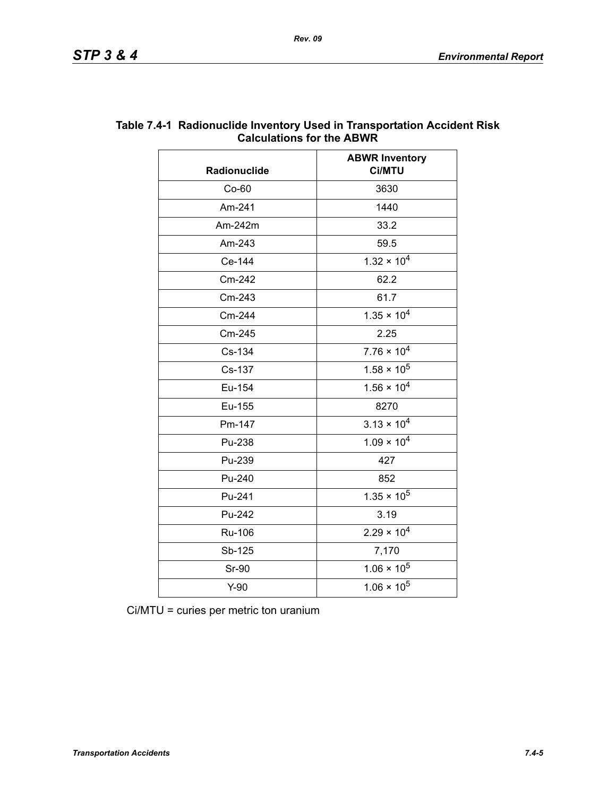| Radionuclide | <b>ABWR Inventory</b><br>Ci/MTU |  |
|--------------|---------------------------------|--|
| $Co-60$      | 3630                            |  |
| Am-241       | 1440                            |  |
| Am-242m      | 33.2                            |  |
| Am-243       | 59.5                            |  |
| Ce-144       | $1.32 \times 10^{4}$            |  |
| Cm-242       | 62.2                            |  |
| Cm-243       | 61.7                            |  |
| Cm-244       | $1.35 \times 10^{4}$            |  |
| Cm-245       | 2.25                            |  |
| Cs-134       | $7.76 \times 10^4$              |  |
| Cs-137       | $1.58 \times 10^5$              |  |
| Eu-154       | $1.56 \times 10^{4}$            |  |
| Eu-155       | 8270                            |  |
| Pm-147       | $3.13 \times 10^{4}$            |  |
| Pu-238       | $1.09 \times 10^{4}$            |  |
| Pu-239       | 427                             |  |
| Pu-240       | 852                             |  |
| Pu-241       | $1.35 \times 10^5$              |  |
| Pu-242       | 3.19                            |  |
| Ru-106       | $2.29 \times 10^{4}$            |  |
| Sb-125       | 7,170                           |  |
| <b>Sr-90</b> | $1.06 \times 10^5$              |  |
| $Y-90$       | $1.06 \times 10^5$              |  |

### **Table 7.4-1 Radionuclide Inventory Used in Transportation Accident Risk Calculations for the ABWR**

Ci/MTU = curies per metric ton uranium